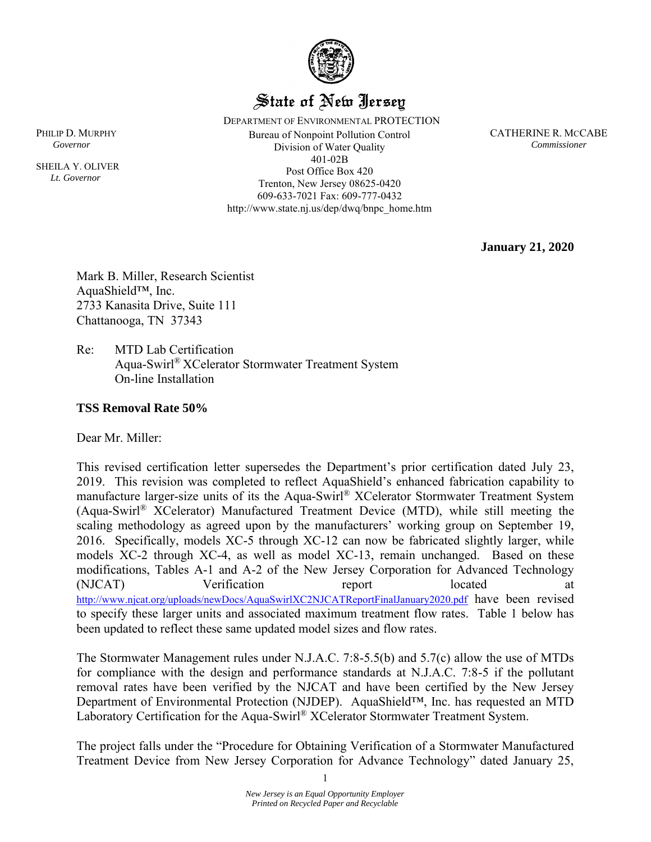

### State of New Jersey

 DEPARTMENT OF ENVIRONMENTAL PROTECTION PHILIP D. MURPHY **CATHERINE R. MCCABE** Bureau of Nonpoint Pollution Control **CATHERINE R. MCCABE**  *Governor Commissioner*  Division of Water Quality 401-02B Post Office Box 420 Trenton, New Jersey 08625-0420 609-633-7021 Fax: 609-777-0432 http://www.state.nj.us/dep/dwq/bnpc\_home.htm

**January 21, 2020**

Mark B. Miller, Research Scientist AquaShield™, Inc. 2733 Kanasita Drive, Suite 111 Chattanooga, TN 37343

Re: MTD Lab Certification Aqua-Swirl® XCelerator Stormwater Treatment System On-line Installation

#### **TSS Removal Rate 50%**

Dear Mr. Miller:

This revised certification letter supersedes the Department's prior certification dated July 23, 2019. This revision was completed to reflect AquaShield's enhanced fabrication capability to manufacture larger-size units of its the Aqua-Swirl® XCelerator Stormwater Treatment System (Aqua-Swirl® XCelerator) Manufactured Treatment Device (MTD), while still meeting the scaling methodology as agreed upon by the manufacturers' working group on September 19, 2016. Specifically, models XC-5 through XC-12 can now be fabricated slightly larger, while models XC-2 through XC-4, as well as model XC-13, remain unchanged. Based on these modifications, Tables A-1 and A-2 of the New Jersey Corporation for Advanced Technology (NJCAT) Verification report located at <http://www.njcat.org/uploads/newDocs/AquaSwirlXC2NJCATReportFinalJanuary2020.pdf> have been revised to specify these larger units and associated maximum treatment flow rates. Table 1 below has been updated to reflect these same updated model sizes and flow rates.

The Stormwater Management rules under N.J.A.C. 7:8-5.5(b) and 5.7(c) allow the use of MTDs for compliance with the design and performance standards at N.J.A.C. 7:8-5 if the pollutant removal rates have been verified by the NJCAT and have been certified by the New Jersey Department of Environmental Protection (NJDEP). AquaShield™, Inc. has requested an MTD Laboratory Certification for the Aqua-Swirl® XCelerator Stormwater Treatment System.

The project falls under the "Procedure for Obtaining Verification of a Stormwater Manufactured Treatment Device from New Jersey Corporation for Advance Technology" dated January 25,

1

SHEILA Y. OLIVER  *Lt. Governor*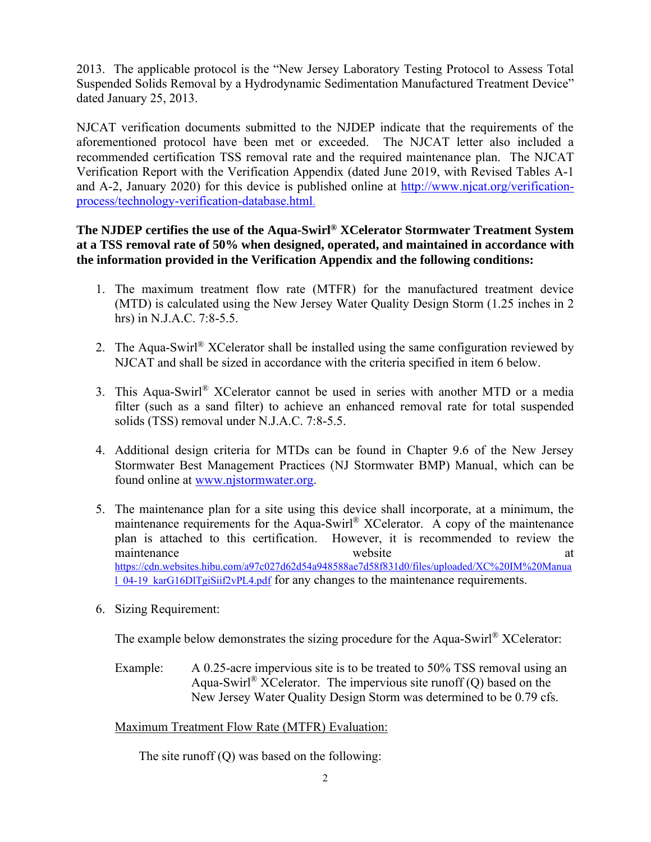2013. The applicable protocol is the "New Jersey Laboratory Testing Protocol to Assess Total Suspended Solids Removal by a Hydrodynamic Sedimentation Manufactured Treatment Device" dated January 25, 2013.

NJCAT verification documents submitted to the NJDEP indicate that the requirements of the aforementioned protocol have been met or exceeded. The NJCAT letter also included a recommended certification TSS removal rate and the required maintenance plan. The NJCAT Verification Report with the Verification Appendix (dated June 2019, with Revised Tables A-1 and A-2, January 2020) for this device is published online at [http://www.njcat.org/verification](http://www.njcat.org/verification-process/technology-verification-database.html)[process/technology-verification-database.html](http://www.njcat.org/verification-process/technology-verification-database.html).

#### **The NJDEP certifies the use of the Aqua-Swirl® XCelerator Stormwater Treatment System at a TSS removal rate of 50% when designed, operated, and maintained in accordance with the information provided in the Verification Appendix and the following conditions:**

- 1. The maximum treatment flow rate (MTFR) for the manufactured treatment device (MTD) is calculated using the New Jersey Water Quality Design Storm (1.25 inches in 2 hrs) in N.J.A.C. 7:8-5.5.
- 2. The Aqua-Swirl<sup>®</sup> XCelerator shall be installed using the same configuration reviewed by NJCAT and shall be sized in accordance with the criteria specified in item 6 below.
- 3. This Aqua-Swirl® XCelerator cannot be used in series with another MTD or a media filter (such as a sand filter) to achieve an enhanced removal rate for total suspended solids (TSS) removal under N.J.A.C. 7:8-5.5.
- 4. Additional design criteria for MTDs can be found in Chapter 9.6 of the New Jersey Stormwater Best Management Practices (NJ Stormwater BMP) Manual, which can be found online at [www.njstormwater.org.](http://www.njstormwater.org/)
- 5. The maintenance plan for a site using this device shall incorporate, at a minimum, the maintenance requirements for the Aqua-Swirl® XCelerator. A copy of the maintenance plan is attached to this certification. However, it is recommended to review the maintenance website [https://cdn.websites.hibu.com/a97c027d62d54a948588ae7d58f831d0/files/uploaded/XC%20IM%20Manua](https://cdn.websites.hibu.com/a97c027d62d54a948588ae7d58f831d0/files/uploaded/XC%20IM%20Manual_04-19_karG16DlTgiSiif2vPL4.pdf) [l\\_04-19\\_karG16DlTgiSiif2vPL4.pdf](https://cdn.websites.hibu.com/a97c027d62d54a948588ae7d58f831d0/files/uploaded/XC%20IM%20Manual_04-19_karG16DlTgiSiif2vPL4.pdf) for any changes to the maintenance requirements.
- 6. Sizing Requirement:

The example below demonstrates the sizing procedure for the Aqua-Swirl<sup>®</sup> XCelerator:

Example: A 0.25-acre impervious site is to be treated to 50% TSS removal using an Aqua-Swirl<sup>®</sup> XCelerator. The impervious site runoff  $(Q)$  based on the New Jersey Water Quality Design Storm was determined to be 0.79 cfs.

Maximum Treatment Flow Rate (MTFR) Evaluation:

The site runoff (Q) was based on the following: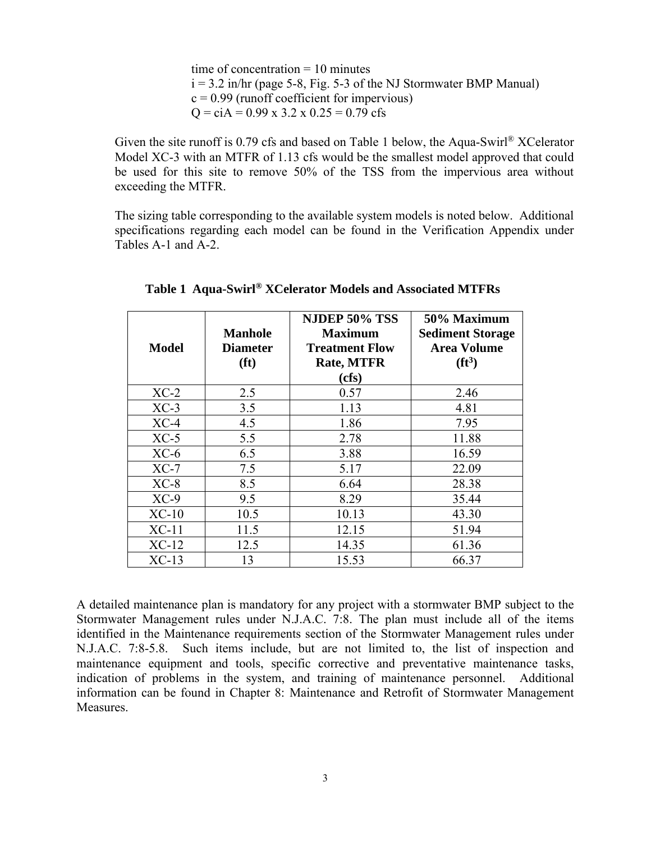time of concentration  $= 10$  minutes  $i = 3.2$  in/hr (page 5-8, Fig. 5-3 of the NJ Stormwater BMP Manual)  $c = 0.99$  (runoff coefficient for impervious)  $Q = c\dot{A} = 0.99 \times 3.2 \times 0.25 = 0.79 \text{ cfs}$ 

Given the site runoff is 0.79 cfs and based on Table 1 below, the Aqua-Swirl<sup>®</sup> XCelerator Model XC-3 with an MTFR of 1.13 cfs would be the smallest model approved that could be used for this site to remove 50% of the TSS from the impervious area without exceeding the MTFR.

The sizing table corresponding to the available system models is noted below. Additional specifications regarding each model can be found in the Verification Appendix under Tables A-1 and A-2.

| <b>Model</b> | <b>Manhole</b><br><b>Diameter</b><br>(f <sup>t</sup> ) | <b>NJDEP 50% TSS</b><br><b>Maximum</b><br><b>Treatment Flow</b><br><b>Rate, MTFR</b> | 50% Maximum<br><b>Sediment Storage</b><br><b>Area Volume</b><br>$(f t^3)$ |
|--------------|--------------------------------------------------------|--------------------------------------------------------------------------------------|---------------------------------------------------------------------------|
|              |                                                        | (cfs)                                                                                |                                                                           |
| $XC-2$       | 2.5                                                    | 0.57                                                                                 | 2.46                                                                      |
| $XC-3$       | 3.5                                                    | 1.13                                                                                 | 4.81                                                                      |
| $XC-4$       | 4.5                                                    | 1.86                                                                                 | 7.95                                                                      |
| $XC-5$       | 5.5                                                    | 2.78                                                                                 | 11.88                                                                     |
| $XC-6$       | 6.5                                                    | 3.88                                                                                 | 16.59                                                                     |
| $XC-7$       | 7.5                                                    | 5.17                                                                                 | 22.09                                                                     |
| $XC-8$       | 8.5                                                    | 6.64                                                                                 | 28.38                                                                     |
| $XC-9$       | 9.5                                                    | 8.29                                                                                 | 35.44                                                                     |
| $XC-10$      | 10.5                                                   | 10.13                                                                                | 43.30                                                                     |
| $XC-11$      | 11.5                                                   | 12.15                                                                                | 51.94                                                                     |
| $XC-12$      | 12.5                                                   | 14.35                                                                                | 61.36                                                                     |
| $XC-13$      | 13                                                     | 15.53                                                                                | 66.37                                                                     |

**Table 1 Aqua-Swirl® XCelerator Models and Associated MTFRs**

A detailed maintenance plan is mandatory for any project with a stormwater BMP subject to the Stormwater Management rules under N.J.A.C. 7:8. The plan must include all of the items identified in the Maintenance requirements section of the Stormwater Management rules under N.J.A.C. 7:8-5.8. Such items include, but are not limited to, the list of inspection and maintenance equipment and tools, specific corrective and preventative maintenance tasks, indication of problems in the system, and training of maintenance personnel. Additional information can be found in Chapter 8: Maintenance and Retrofit of Stormwater Management Measures.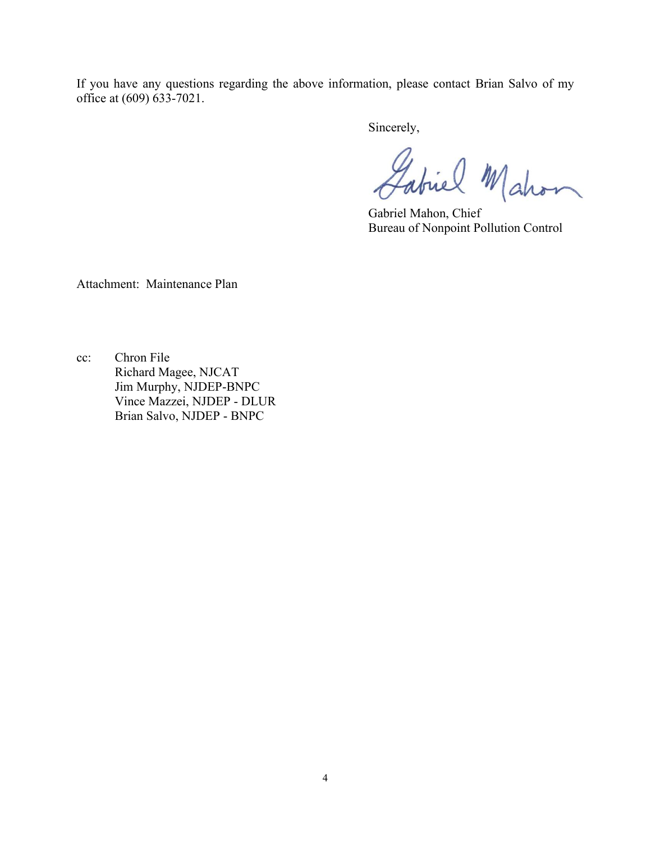If you have any questions regarding the above information, please contact Brian Salvo of my office at (609) 633-7021.

Sincerely,

Labiel Mahon

Gabriel Mahon, Chief Bureau of Nonpoint Pollution Control

Attachment: Maintenance Plan

cc: Chron File Richard Magee, NJCAT Jim Murphy, NJDEP-BNPC Vince Mazzei, NJDEP - DLUR Brian Salvo, NJDEP - BNPC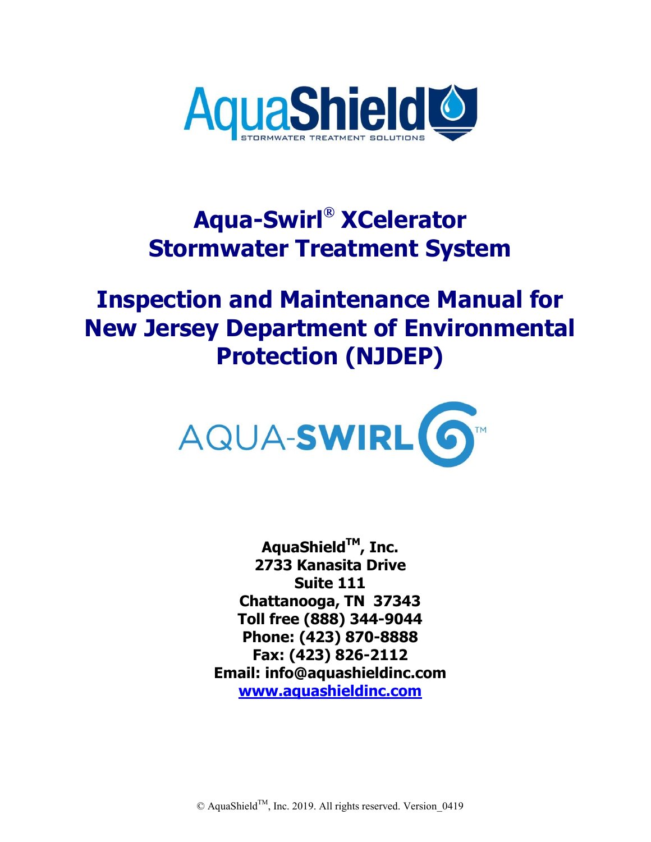

# **Aqua-Swirl® XCelerator Stormwater Treatment System**

# **Inspection and Maintenance Manual for New Jersey Department of Environmental Protection (NJDEP)**



**AquaShieldTM, Inc. 2733 Kanasita Drive Suite 111 Chattanooga, TN 37343 Toll free (888) 344-9044 Phone: (423) 870-8888 Fax: (423) 826-2112 Email: info@aquashieldinc.com [www.aquashieldinc.com](http://www.aquashieldinc.com/)** 

© AquaShield<sup>™</sup>, Inc. 2019. All rights reserved. Version 0419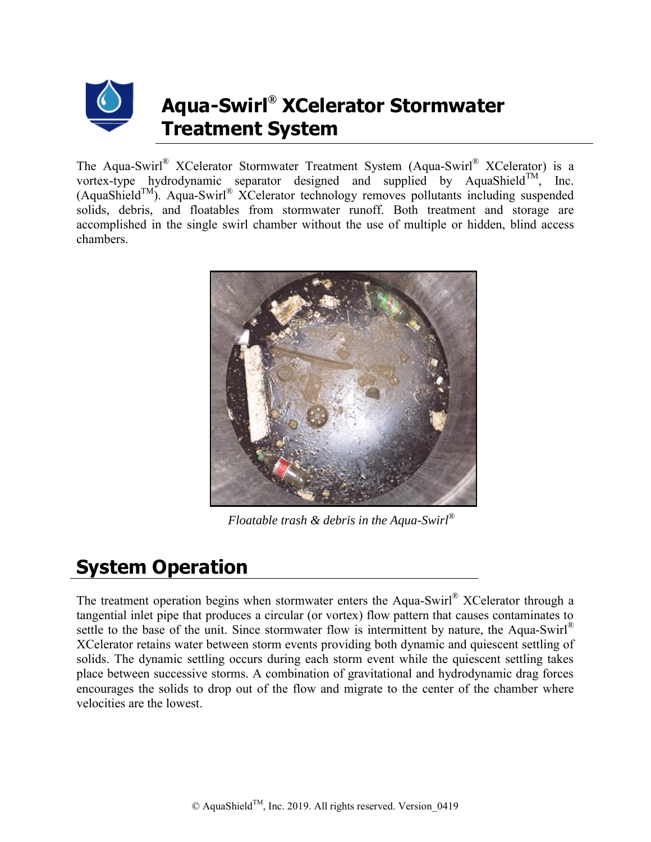

## **Aqua-Swirl® XCelerator Stormwater Treatment System**

The Aqua-Swirl® XCelerator Stormwater Treatment System (Aqua-Swirl® XCelerator) is a vortex-type hydrodynamic separator designed and supplied by AquaShield<sup>TM</sup>, Inc.  $(Aquashield<sup>TM</sup>)$ . Aqua-Swirl® XCelerator technology removes pollutants including suspended solids, debris, and floatables from stormwater runoff. Both treatment and storage are accomplished in the single swirl chamber without the use of multiple or hidden, blind access chambers.



*Floatable trash & debris in the Aqua-Swirl®*

## **System Operation**

The treatment operation begins when stormwater enters the Aqua-Swirl® XCelerator through a tangential inlet pipe that produces a circular (or vortex) flow pattern that causes contaminates to settle to the base of the unit. Since stormwater flow is intermittent by nature, the Aqua-Swirl<sup>®</sup> XCelerator retains water between storm events providing both dynamic and quiescent settling of solids. The dynamic settling occurs during each storm event while the quiescent settling takes place between successive storms. A combination of gravitational and hydrodynamic drag forces encourages the solids to drop out of the flow and migrate to the center of the chamber where velocities are the lowest.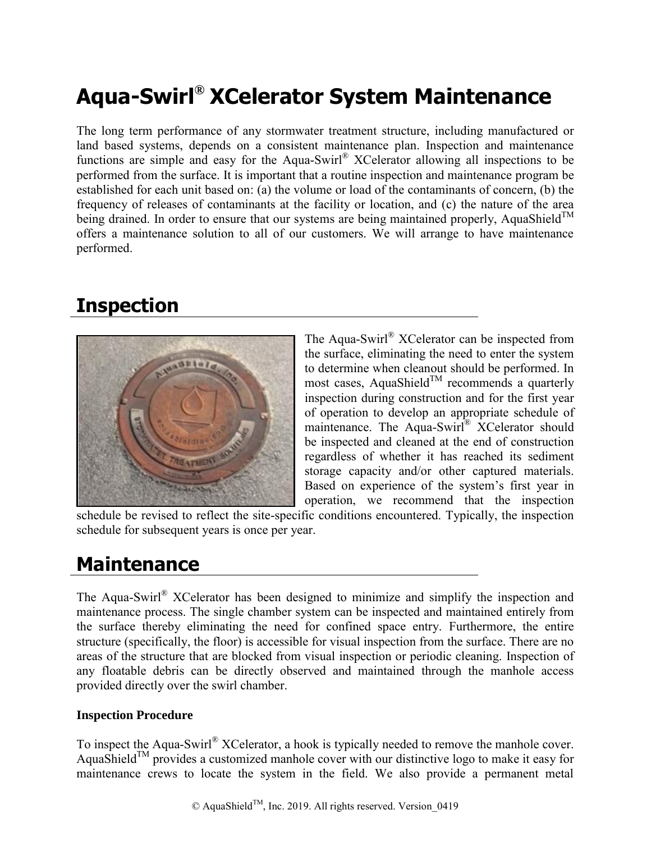# **Aqua-Swirl® XCelerator System Maintenance**

The long term performance of any stormwater treatment structure, including manufactured or land based systems, depends on a consistent maintenance plan. Inspection and maintenance functions are simple and easy for the Aqua-Swirl® XCelerator allowing all inspections to be performed from the surface. It is important that a routine inspection and maintenance program be established for each unit based on: (a) the volume or load of the contaminants of concern, (b) the frequency of releases of contaminants at the facility or location, and (c) the nature of the area being drained. In order to ensure that our systems are being maintained properly, AquaShield<sup>TM</sup> offers a maintenance solution to all of our customers. We will arrange to have maintenance performed.

## **Inspection**



The Aqua-Swirl® XCelerator can be inspected from the surface, eliminating the need to enter the system to determine when cleanout should be performed. In most cases, AquaShield<sup>TM</sup> recommends a quarterly inspection during construction and for the first year of operation to develop an appropriate schedule of maintenance. The Aqua-Swirl® XCelerator should be inspected and cleaned at the end of construction regardless of whether it has reached its sediment storage capacity and/or other captured materials. Based on experience of the system's first year in operation, we recommend that the inspection

schedule be revised to reflect the site-specific conditions encountered. Typically, the inspection schedule for subsequent years is once per year.

### **Maintenance**

The Aqua-Swirl® XCelerator has been designed to minimize and simplify the inspection and maintenance process. The single chamber system can be inspected and maintained entirely from the surface thereby eliminating the need for confined space entry. Furthermore, the entire structure (specifically, the floor) is accessible for visual inspection from the surface. There are no areas of the structure that are blocked from visual inspection or periodic cleaning. Inspection of any floatable debris can be directly observed and maintained through the manhole access provided directly over the swirl chamber.

#### **Inspection Procedure**

To inspect the Aqua-Swirl® XCelerator, a hook is typically needed to remove the manhole cover. AquaShield<sup>TM</sup> provides a customized manhole cover with our distinctive logo to make it easy for maintenance crews to locate the system in the field. We also provide a permanent metal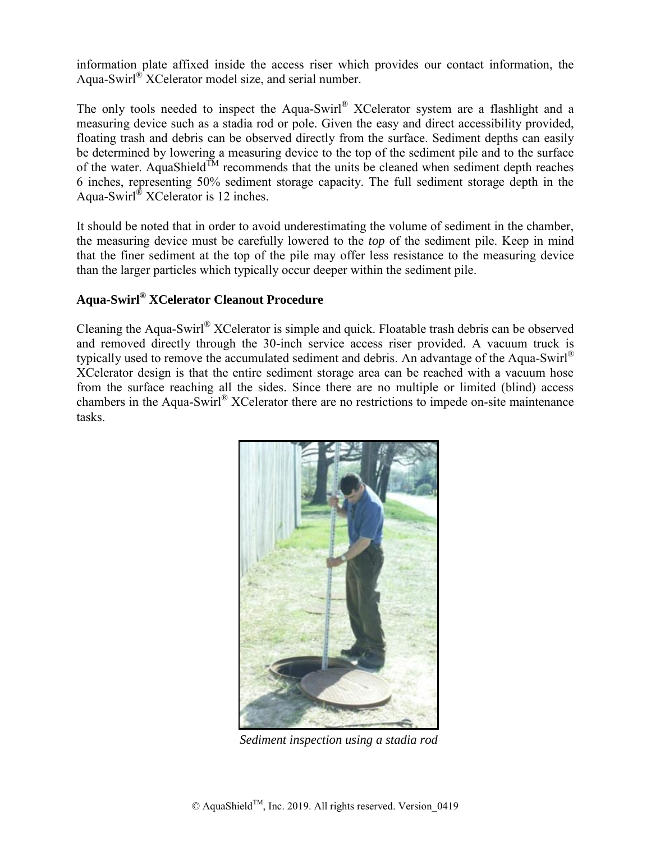information plate affixed inside the access riser which provides our contact information, the Aqua-Swirl® XCelerator model size, and serial number.

The only tools needed to inspect the Aqua-Swirl® XCelerator system are a flashlight and a measuring device such as a stadia rod or pole. Given the easy and direct accessibility provided, floating trash and debris can be observed directly from the surface. Sediment depths can easily be determined by lowering a measuring device to the top of the sediment pile and to the surface of the water. AquaShield<sup>TM</sup> recommends that the units be cleaned when sediment depth reaches 6 inches, representing 50% sediment storage capacity. The full sediment storage depth in the Aqua-Swirl® XCelerator is 12 inches.

It should be noted that in order to avoid underestimating the volume of sediment in the chamber, the measuring device must be carefully lowered to the *top* of the sediment pile. Keep in mind that the finer sediment at the top of the pile may offer less resistance to the measuring device than the larger particles which typically occur deeper within the sediment pile.

### **Aqua-Swirl® XCelerator Cleanout Procedure**

Cleaning the Aqua-Swirl® XCelerator is simple and quick. Floatable trash debris can be observed and removed directly through the 30-inch service access riser provided. A vacuum truck is typically used to remove the accumulated sediment and debris. An advantage of the Aqua-Swirl<sup>®</sup> XCelerator design is that the entire sediment storage area can be reached with a vacuum hose from the surface reaching all the sides. Since there are no multiple or limited (blind) access chambers in the Aqua-Swirl® XCelerator there are no restrictions to impede on-site maintenance tasks.



*Sediment inspection using a stadia rod*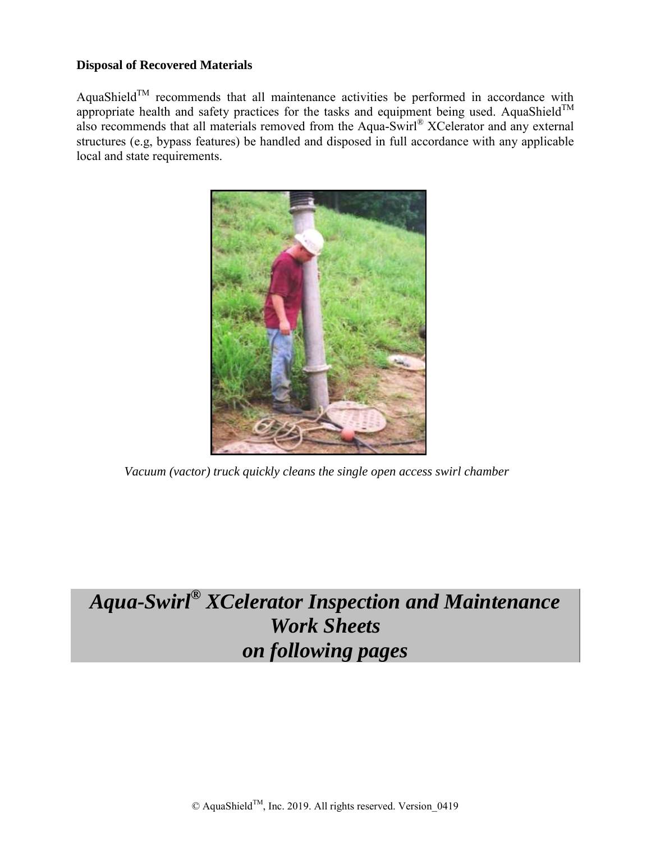#### **Disposal of Recovered Materials**

AquaShield<sup>TM</sup> recommends that all maintenance activities be performed in accordance with appropriate health and safety practices for the tasks and equipment being used. AquaShield<sup>TM</sup> also recommends that all materials removed from the Aqua-Swirl® XCelerator and any external structures (e.g, bypass features) be handled and disposed in full accordance with any applicable local and state requirements.



*Vacuum (vactor) truck quickly cleans the single open access swirl chamber*

# *Aqua-Swirl® XCelerator Inspection and Maintenance Work Sheets on following pages*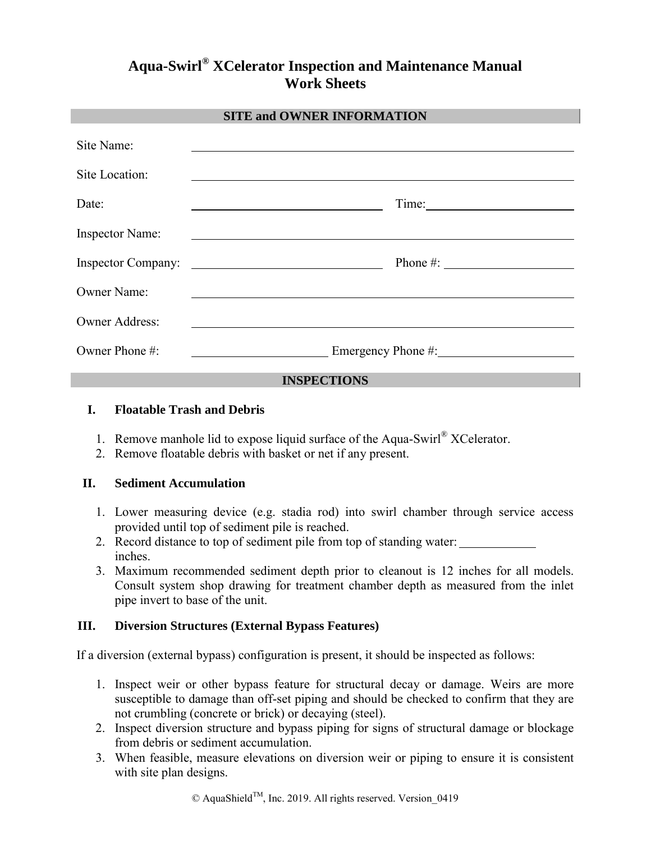### **Aqua-Swirl® XCelerator Inspection and Maintenance Manual Work Sheets**

#### **SITE and OWNER INFORMATION**

| Site Name:                |                                                                                             |
|---------------------------|---------------------------------------------------------------------------------------------|
| Site Location:            |                                                                                             |
| Date:                     |                                                                                             |
| <b>Inspector Name:</b>    |                                                                                             |
| <b>Inspector Company:</b> | Phone #: $\qquad \qquad \qquad$<br><u> 1980 - Johann Marie Barn, margaret eta idazlea (</u> |
| <b>Owner Name:</b>        |                                                                                             |
| <b>Owner Address:</b>     |                                                                                             |
| Owner Phone #:            | Emergency Phone #:                                                                          |

#### **INSPECTIONS**

#### **I. Floatable Trash and Debris**

- 1. Remove manhole lid to expose liquid surface of the Aqua-Swirl® XCelerator.
- 2. Remove floatable debris with basket or net if any present.

#### **II. Sediment Accumulation**

- 1. Lower measuring device (e.g. stadia rod) into swirl chamber through service access provided until top of sediment pile is reached.
- 2. Record distance to top of sediment pile from top of standing water: inches.
- 3. Maximum recommended sediment depth prior to cleanout is 12 inches for all models. Consult system shop drawing for treatment chamber depth as measured from the inlet pipe invert to base of the unit.

#### **III. Diversion Structures (External Bypass Features)**

If a diversion (external bypass) configuration is present, it should be inspected as follows:

- 1. Inspect weir or other bypass feature for structural decay or damage. Weirs are more susceptible to damage than off-set piping and should be checked to confirm that they are not crumbling (concrete or brick) or decaying (steel).
- 2. Inspect diversion structure and bypass piping for signs of structural damage or blockage from debris or sediment accumulation.
- 3. When feasible, measure elevations on diversion weir or piping to ensure it is consistent with site plan designs.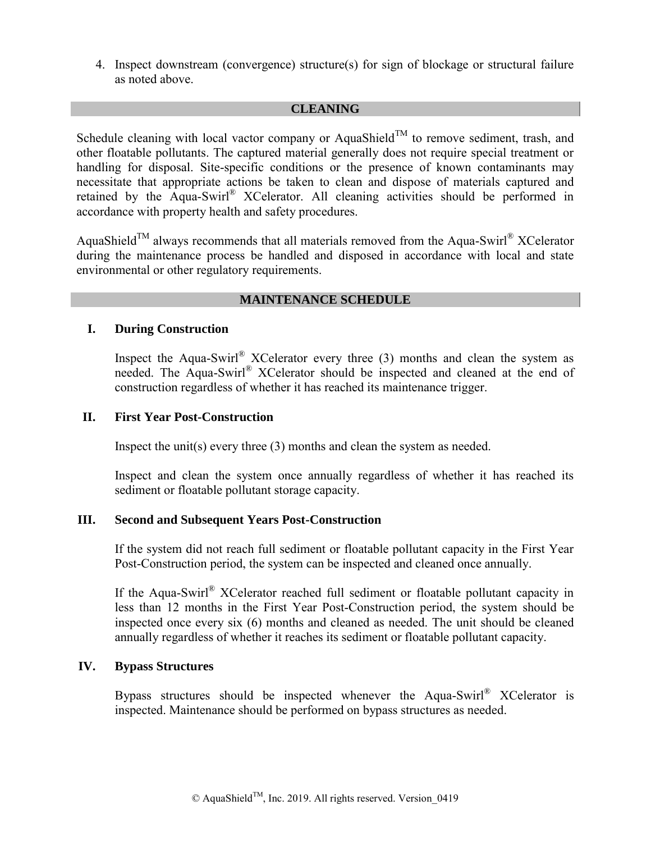4. Inspect downstream (convergence) structure(s) for sign of blockage or structural failure as noted above.

#### **CLEANING**

Schedule cleaning with local vactor company or AquaShield<sup>TM</sup> to remove sediment, trash, and other floatable pollutants. The captured material generally does not require special treatment or handling for disposal. Site-specific conditions or the presence of known contaminants may necessitate that appropriate actions be taken to clean and dispose of materials captured and retained by the Aqua-Swirl® XCelerator. All cleaning activities should be performed in accordance with property health and safety procedures.

AquaShield<sup>™</sup> always recommends that all materials removed from the Aqua-Swirl® XCelerator during the maintenance process be handled and disposed in accordance with local and state environmental or other regulatory requirements.

#### **MAINTENANCE SCHEDULE**

#### **I. During Construction**

Inspect the Aqua-Swirl® XCelerator every three  $(3)$  months and clean the system as needed. The Aqua-Swirl® XCelerator should be inspected and cleaned at the end of construction regardless of whether it has reached its maintenance trigger.

#### **II. First Year Post-Construction**

Inspect the unit(s) every three (3) months and clean the system as needed.

Inspect and clean the system once annually regardless of whether it has reached its sediment or floatable pollutant storage capacity.

#### **III. Second and Subsequent Years Post-Construction**

If the system did not reach full sediment or floatable pollutant capacity in the First Year Post-Construction period, the system can be inspected and cleaned once annually.

If the Aqua-Swirl® XCelerator reached full sediment or floatable pollutant capacity in less than 12 months in the First Year Post-Construction period, the system should be inspected once every six (6) months and cleaned as needed. The unit should be cleaned annually regardless of whether it reaches its sediment or floatable pollutant capacity.

#### **IV. Bypass Structures**

Bypass structures should be inspected whenever the Aqua-Swirl® XCelerator is inspected. Maintenance should be performed on bypass structures as needed.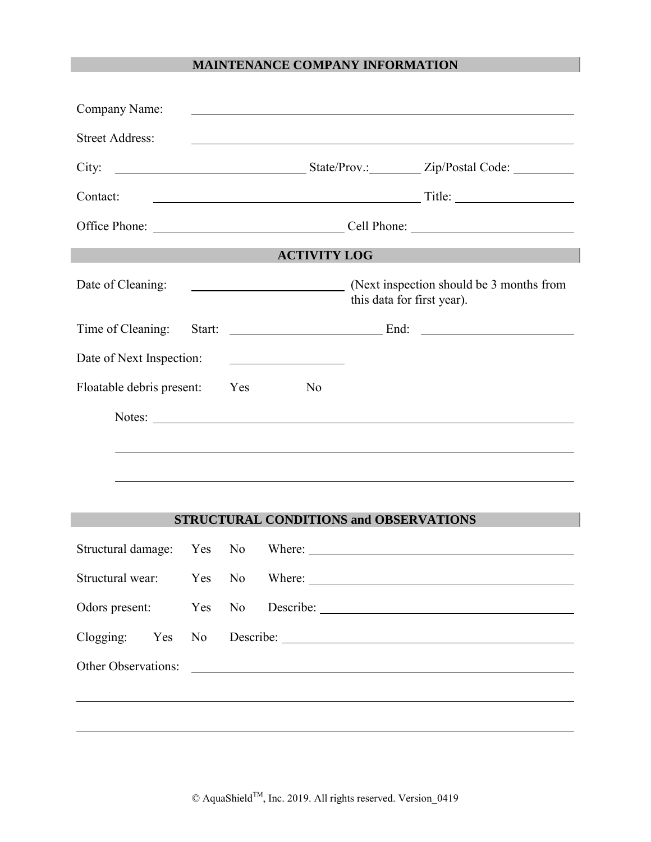#### **MAINTENANCE COMPANY INFORMATION**

| Company Name:             |     |    |                                                   |                            |                                                                                                                       |
|---------------------------|-----|----|---------------------------------------------------|----------------------------|-----------------------------------------------------------------------------------------------------------------------|
| <b>Street Address:</b>    |     |    |                                                   |                            | <u> 1980 - Johann Barn, fransk politik (d. 1980)</u>                                                                  |
|                           |     |    |                                                   |                            |                                                                                                                       |
| Contact:                  |     |    |                                                   |                            |                                                                                                                       |
|                           |     |    |                                                   |                            |                                                                                                                       |
|                           |     |    | <b>ACTIVITY LOG</b>                               |                            |                                                                                                                       |
| Date of Cleaning:         |     |    | <u> 1980 - Andrea Brand, amerikansk politik (</u> | this data for first year). | (Next inspection should be 3 months from                                                                              |
| Time of Cleaning:         |     |    |                                                   |                            |                                                                                                                       |
| Date of Next Inspection:  |     |    |                                                   |                            |                                                                                                                       |
| Floatable debris present: |     |    | Yes<br>N <sub>0</sub>                             |                            |                                                                                                                       |
|                           |     |    |                                                   |                            |                                                                                                                       |
|                           |     |    |                                                   |                            |                                                                                                                       |
|                           |     |    |                                                   |                            |                                                                                                                       |
|                           |     |    |                                                   |                            |                                                                                                                       |
|                           |     |    | <b>STRUCTURAL CONDITIONS and OBSERVATIONS</b>     |                            |                                                                                                                       |
|                           |     |    |                                                   |                            |                                                                                                                       |
|                           |     |    |                                                   |                            |                                                                                                                       |
| Odors present:            | Yes | No |                                                   |                            |                                                                                                                       |
| Clogging: Yes             |     |    |                                                   |                            | No Describe: 1988                                                                                                     |
| Other Observations:       |     |    |                                                   |                            | <u> 1980 - Jan Samuel Barbara, martin da basar a shekara tsa a tsara tsa a tsara tsa a tsara tsa a tsara tsa a ts</u> |
|                           |     |    |                                                   |                            |                                                                                                                       |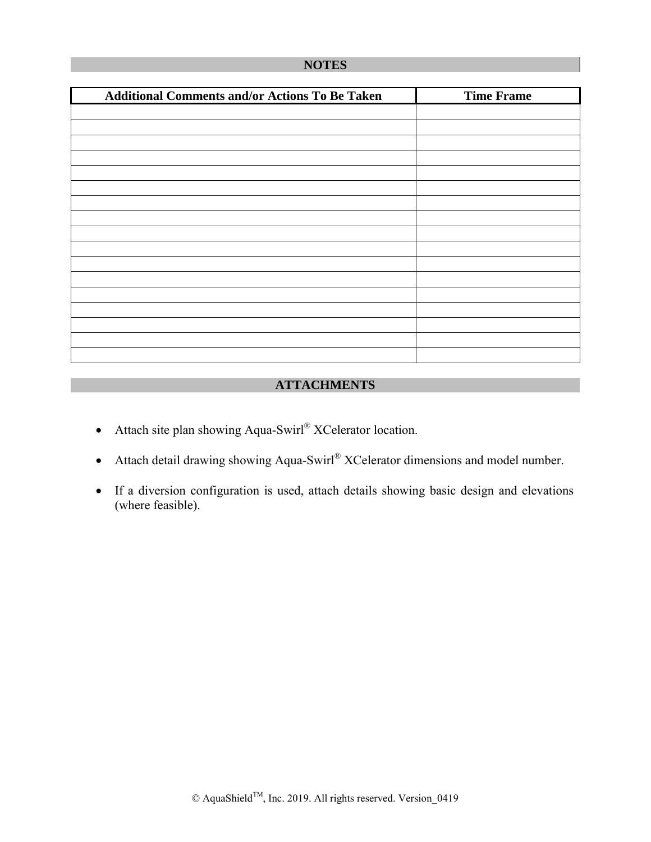#### **NOTES**

| <b>Additional Comments and/or Actions To Be Taken</b> | <b>Time Frame</b> |
|-------------------------------------------------------|-------------------|
|                                                       |                   |
|                                                       |                   |
|                                                       |                   |
|                                                       |                   |
|                                                       |                   |
|                                                       |                   |
|                                                       |                   |
|                                                       |                   |
|                                                       |                   |
|                                                       |                   |
|                                                       |                   |
|                                                       |                   |
|                                                       |                   |
|                                                       |                   |
|                                                       |                   |
|                                                       |                   |
|                                                       |                   |

#### **ATTACHMENTS**

- Attach site plan showing Aqua-Swirl® XCelerator location.
- Attach detail drawing showing Aqua-Swirl® XCelerator dimensions and model number.
- If a diversion configuration is used, attach details showing basic design and elevations (where feasible).